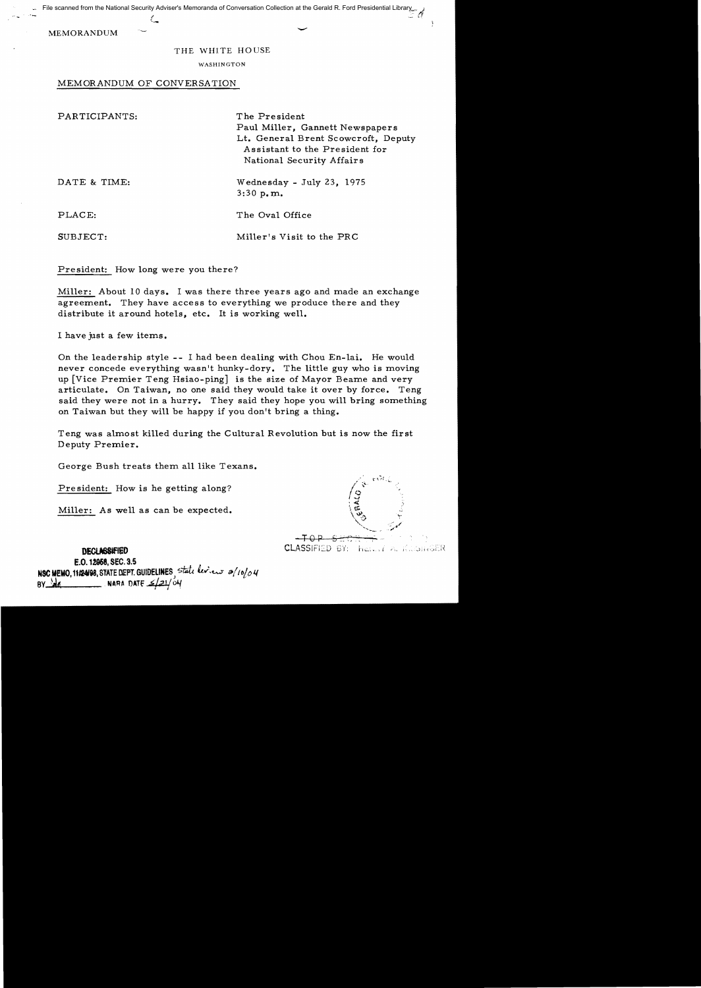File scanned from the National Security Adviser's Memoranda of Conversation Collection at the Gerald R. Ford Presidential Library

MEMORANDUM

## THE WHITE HOUSE

WASHINGTON

MEMORANDUM OF CONVERSATION

"' "

| PARTICIPANTS: | The President<br>Paul Miller, Gannett Newspapers<br>Lt. General Brent Scowcroft, Deputy<br>Assistant to the President for<br>National Security Affairs |
|---------------|--------------------------------------------------------------------------------------------------------------------------------------------------------|
| DATE & TIME:  | Wednesday - July 23, 1975<br>3:30 p.m.                                                                                                                 |
| PLACE:        | The Oval Office                                                                                                                                        |
| SUBJECT:      | Miller's Visit to the PRC                                                                                                                              |

President: How long were you there?

Miller: About 10 days. I was there three years ago and made an exchange agreement. They have access to everything we produce there and they distribute it around hotels, etc. It is working well.

I have just a few items.

On the leadership style - I had been dealing with Chou En-lai. He would never concede everything wasn't hunky-dory. The little guy who is moving up [Vice Premier Teng Hsiao-ping] is the size of Mayor Beame and very articulate. On Taiwan, no one said they would take it over by force. Teng said they were not in a hurry. They said they hope you will bring something on Taiwan but they will be happy if you don't bring a thing.

Teng was almost killed during the Cultural Revolution but is now the first Deputy Premier.

George Bush treats them all like Texans.

Pre sident: How is he getting along?

Miller: As well as can be expected.

 $-TOP$  section CLASSIFIED BY: here the Kelon GER .. ~--~ ":" .<br>موسي

- 0

## **DEClMWJED**

E.O. 12968, sec. 3.5 NSC MEMO, 11124198, STATE DEPT. GUIDELINES, *state levieur 0/10/04* NARA DATE  $\leq$  21/04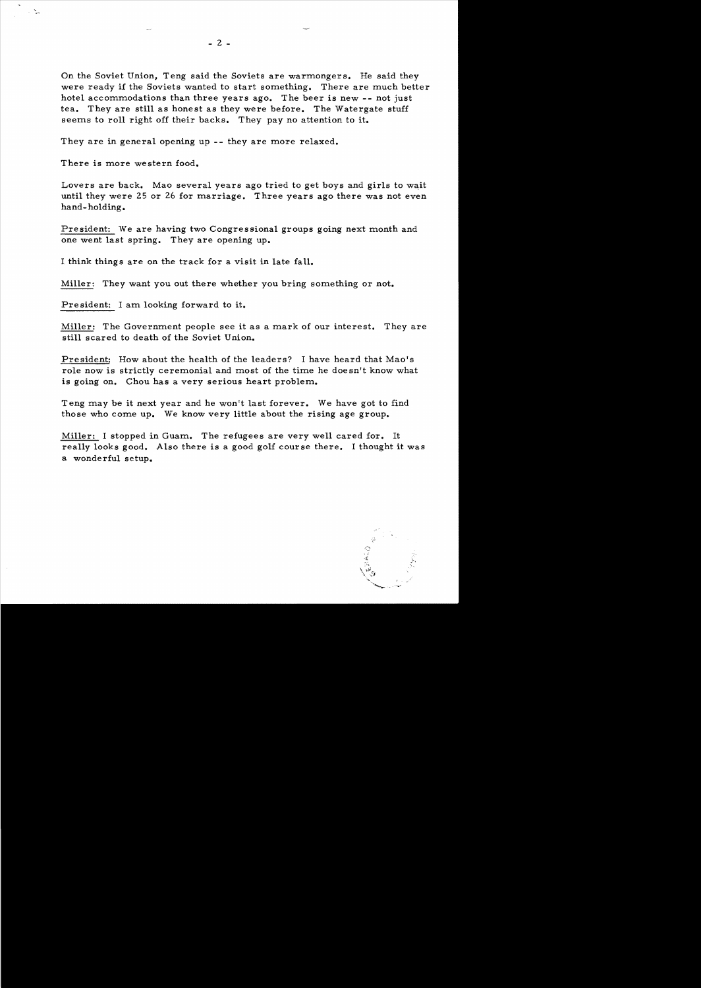On the Soviet Union, Teng said the Soviets are warmongers. He said they were ready if the Soviets wanted to start something. There are much better hotel accommodations than three years ago. The beer is new -- not just tea. They are still as honest as they were before. The Watergate stuff seems to roll right off their backs. They pay no attention to it.

They are in general opening up -- they are more relaxed.

There is more western food.

Lovers are back. Mao several years ago tried to get boys and girls to wait until they were 25 or 26 for marriage. Three years ago there was not even hand- holding.

President: We are having two Congressional groups going next month and one went last spring. They are opening up.

I think things are on the track for a visit in late fall.

Miller: They want you out there whether you bring something or not.

Pre sident: I am looking forward to it.

Miller: The Government people see it as a mark of our interest. They are still scared to death of the Soviet Union.

President: How about the health of the leaders? I have heard that Mao's role now is strictly ceremonial and most of the time he doesn't know what is going on. Chou has a very serious heart problem.

Teng may be it next year and he won't last forever. We have got to find those who come up. We know very little about the rising age group.

Miller: I stopped in Guam. The refugees are very well cared for. It really looks good. Also there is a good golf course there. I thought it was a wonderful setup.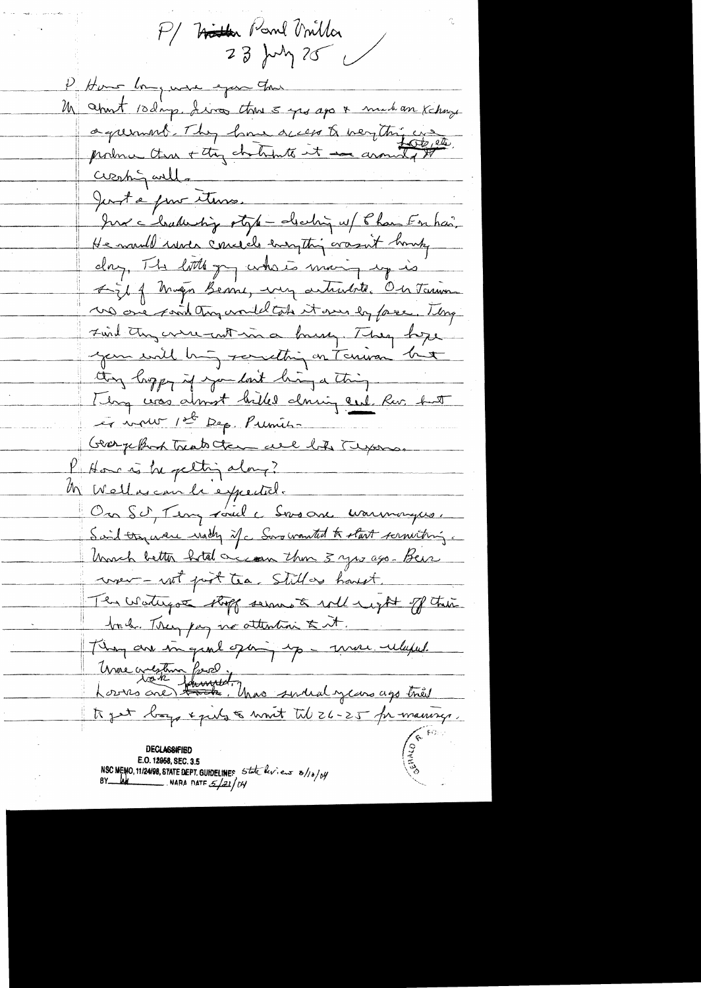P/ Hitter Band Villa 23 July 25 P. Home long were exper that M about 10 days, dives the 5 years & mad an Kchay agument. They have access to verything was Creshing will. Just a pour etures. Jur chaturting style - deching w/ Phan Enhan, He mould were conceiled energthing arousent homety day, The little gry where many up is Figt of Musen Benne, very articulate. On Tarina us one said try would took it was by face. They Find they were not in a brush. They hope your will big something on Terrison but they hopey if you look hing a thing Thing was almost hilled dowing cut for but et vous 1st Dep. Pumis Graphop trato the are by Tyoms. K Home is he getting along? M Wellescan le expectel. On SU, Teny voule Snoone warmonyes. Said try were wally if a Song wanted to start screwiting. Unch better hotel account hom 3 yrs ago- Beise wer - not post tea. Still as houst. The Waterpool stoff serve to will neight of their book. They pay no attention & it. They are in grad oping up - more ulapel Une crestin from the medicine ago très to get boys & pils & moit til 26-25 fr manings. **DECLASSIFIED** E.O. 12968, SEC. 3.5<br>NSC MEMO, 11/24/98, STATE DEPT. GUIDELINES 5tate levieux 8/10/04/<br>BY LACE MARA DATE 5/21/04